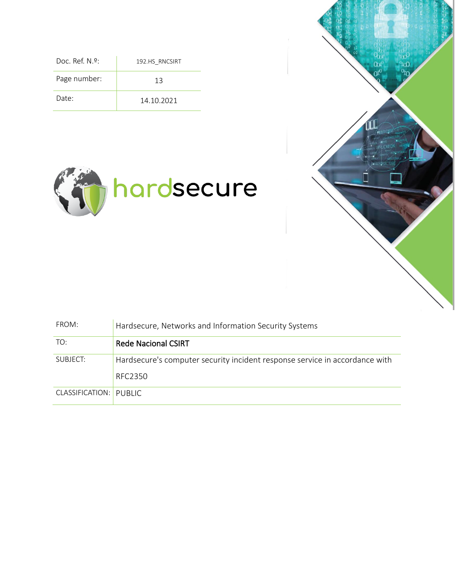| Doc. Ref. $N.9$ : | 192.HS RNCSIRT |
|-------------------|----------------|
| Page number:      | 13             |
| Date:             | 14.10.2021     |





| FROM:                  | Hardsecure, Networks and Information Security Systems                                         |  |  |
|------------------------|-----------------------------------------------------------------------------------------------|--|--|
| TO:                    | <b>Rede Nacional CSIRT</b>                                                                    |  |  |
| SUBJECT:               | Hardsecure's computer security incident response service in accordance with<br><b>RFC2350</b> |  |  |
| CLASSIFICATION: PUBLIC |                                                                                               |  |  |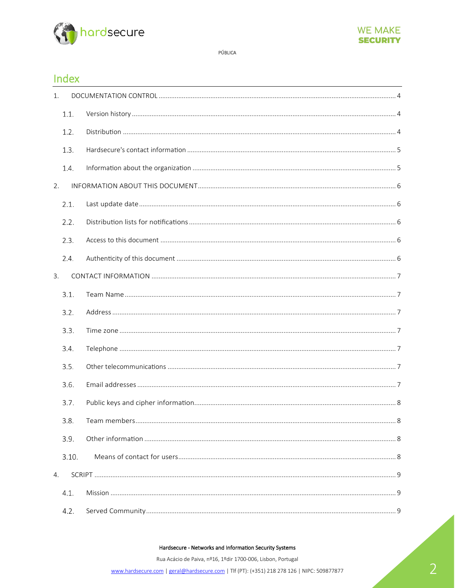



#### Index

| 1.   |       |                     |
|------|-------|---------------------|
| 1.1. |       |                     |
| 1.2. |       |                     |
| 1.3. |       |                     |
| 1.4. |       |                     |
| 2.   |       |                     |
| 2.1. |       |                     |
| 2.2. |       |                     |
| 2.3. |       |                     |
| 2.4. |       |                     |
| 3.   |       |                     |
| 3.1. |       |                     |
| 3.2. |       |                     |
| 3.3. |       |                     |
| 3.4. |       |                     |
| 3.5. |       |                     |
| 3.6. |       |                     |
| 3.7. |       |                     |
| 3.8. |       | Team members<br>. 8 |
| 3.9. |       |                     |
|      | 3.10. |                     |
| 4.   |       |                     |
| 4.1. |       |                     |
| 4.2. |       |                     |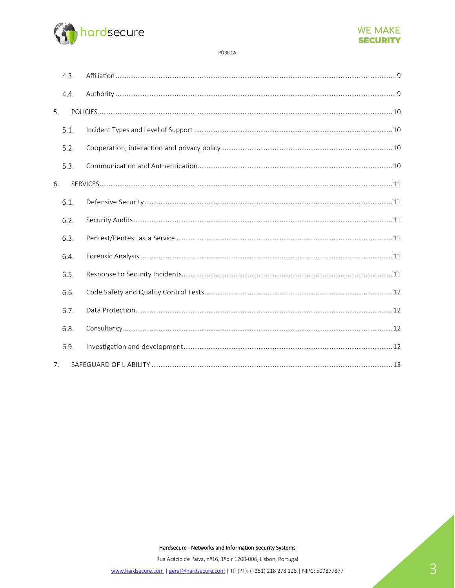



|    | 4.3. |  |
|----|------|--|
|    | 4.4. |  |
| 5. |      |  |
|    | 5.1. |  |
|    | 5.2. |  |
|    | 5.3. |  |
| 6. |      |  |
|    | 6.1. |  |
|    | 6.2. |  |
|    | 6.3. |  |
|    | 6.4. |  |
|    | 6.5. |  |
|    | 6.6. |  |
|    | 6.7. |  |
|    | 6.8. |  |
|    | 6.9. |  |
| 7. |      |  |

Hardsecure - Networks and Information Security Systems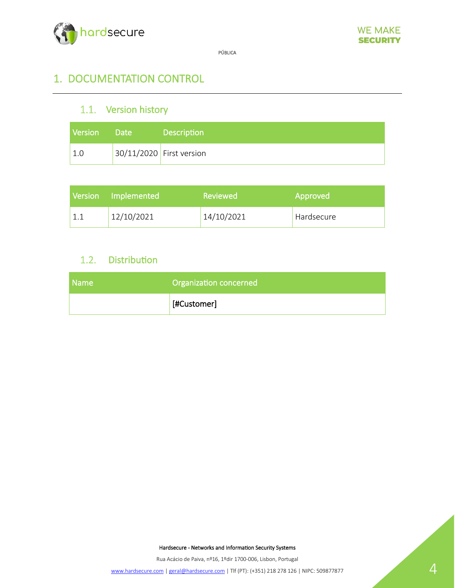

# 1. DOCUMENTATION CONTROL

# 1.1. Version history

| <b>Version</b> | 7 Date | <b>Description</b>         |
|----------------|--------|----------------------------|
| 1.0            |        | $30/11/2020$ First version |

| Version Implemented | Reviewed   | Approved   |
|---------------------|------------|------------|
| 12/10/2021          | 14/10/2021 | Hardsecure |

# 1.2. Distribution

| <b>Name</b> | Organization concerned |  |
|-------------|------------------------|--|
|             | [#Customer]            |  |

Hardsecure - Networks and Information Security Systems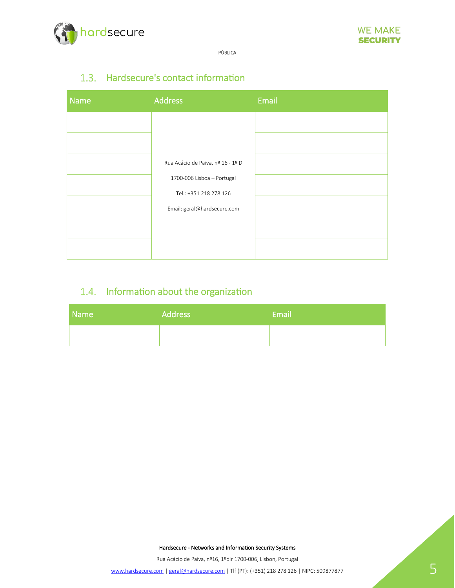

# 1.3. Hardsecure's contact information

| <b>Name</b> | <b>Address</b>                    | Email |
|-------------|-----------------------------------|-------|
|             |                                   |       |
|             |                                   |       |
|             | Rua Acácio de Paiva, nº 16 - 1º D |       |
|             | 1700-006 Lisboa - Portugal        |       |
|             | Tel.: +351 218 278 126            |       |
|             | Email: geral@hardsecure.com       |       |
|             |                                   |       |
|             |                                   |       |

# 1.4. Information about the organization

| Name | <b>Address</b> | Email |
|------|----------------|-------|
|      |                |       |

Hardsecure - Networks and Information Security Systems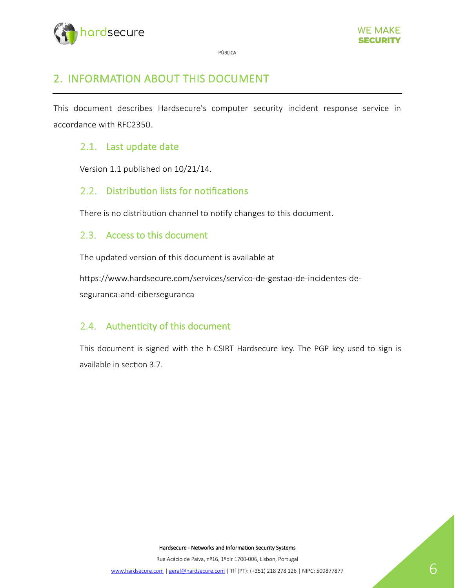

# 2. INFORMATION ABOUT THIS DOCUMENT

This document describes Hardsecure's computer security incident response service in accordance with RFC2350.

## 2.1. Last update date

Version 1.1 published on 10/21/14.

### 2.2. Distribution lists for notifications

There is no distribution channel to notify changes to this document.

#### 2.3. Access to this document

The updated version of this document is available at

htps://www.hardsecure.com/services/servico-de-gestao-de-incidentes-deseguranca-and-ciberseguranca

#### 2.4. Authenticity of this document

This document is signed with the h-CSIRT Hardsecure key. The PGP key used to sign is available in section 3.7.

Hardsecure - Networks and Information Security Systems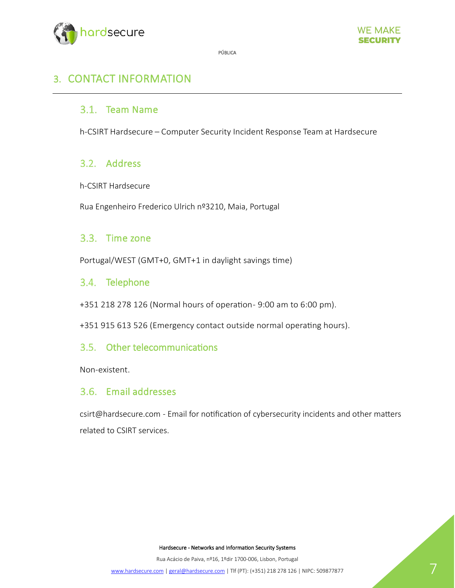



# 3. CONTACT INFORMATION

### 3.1. Team Name

h-CSIRT Hardsecure – Computer Security Incident Response Team at Hardsecure

### 3.2. Address

h-CSIRT Hardsecure

Rua Engenheiro Frederico Ulrich nº3210, Maia, Portugal

#### 3.3. Time zone

Portugal/WEST (GMT+0, GMT+1 in daylight savings time)

#### 3.4. Telephone

+351 218 278 126 (Normal hours of operation-9:00 am to 6:00 pm).

+351 915 613 526 (Emergency contact outside normal operating hours).

#### 3.5. Other telecommunications

Non-existent.

#### 3.6. Email addresses

csirt@hardsecure.com - Email for notification of cybersecurity incidents and other matters related to CSIRT services.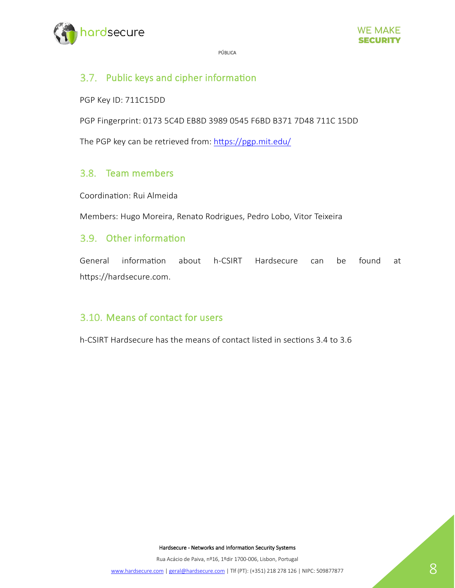

# 3.7. Public keys and cipher information

PGP Key ID: 711C15DD

PGP Fingerprint: 0173 5C4D EB8D 3989 0545 F6BD B371 7D48 711C 15DD

The PGP key can be retrieved from: https://pgp.mit.edu/

#### 3.8. Team members

Coordination: Rui Almeida

Members: Hugo Moreira, Renato Rodrigues, Pedro Lobo, Vitor Teixeira

#### 3.9. Other information

General information about h-CSIRT Hardsecure can be found at https://hardsecure.com.

# 3.10. Means of contact for users

h-CSIRT Hardsecure has the means of contact listed in sections 3.4 to 3.6

Hardsecure - Networks and Information Security Systems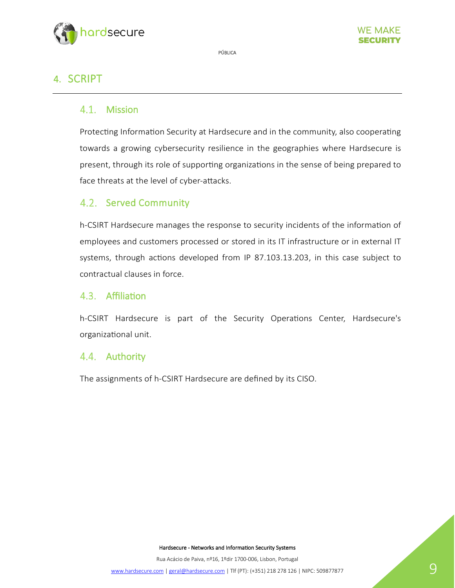

# 4. SCRIPT

## 4.1. Mission

Protecting Information Security at Hardsecure and in the community, also cooperating towards a growing cybersecurity resilience in the geographies where Hardsecure is present, through its role of supporting organizations in the sense of being prepared to face threats at the level of cyber-atacks.

## 4.2. Served Community

h-CSIRT Hardsecure manages the response to security incidents of the information of employees and customers processed or stored in its IT infrastructure or in external IT systems, through actions developed from IP 87.103.13.203, in this case subject to contractual clauses in force.

#### 4.3. Affiliation

h-CSIRT Hardsecure is part of the Security Operations Center, Hardsecure's organizational unit.

#### 4.4. Authority

The assignments of h-CSIRT Hardsecure are defined by its CISO.

Hardsecure - Networks and Information Security Systems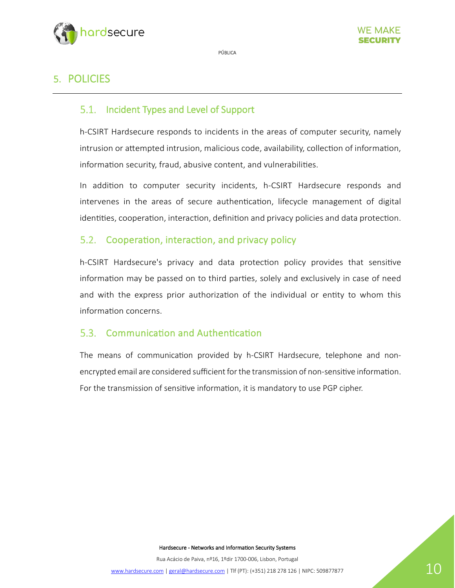

# 5. POLICIES

# 5.1. Incident Types and Level of Support

h-CSIRT Hardsecure responds to incidents in the areas of computer security, namely intrusion or attempted intrusion, malicious code, availability, collection of information, information security, fraud, abusive content, and vulnerabilities.

In addi�on to computer security incidents, h-CSIRT Hardsecure responds and intervenes in the areas of secure authentication, lifecycle management of digital identities, cooperation, interaction, definition and privacy policies and data protection.

### 5.2. Cooperation, interaction, and privacy policy

h-CSIRT Hardsecure's privacy and data protection policy provides that sensitive information may be passed on to third parties, solely and exclusively in case of need and with the express prior authorization of the individual or entity to whom this information concerns.

#### 5.3. Communication and Authentication

The means of communication provided by h-CSIRT Hardsecure, telephone and nonencrypted email are considered sufficient for the transmission of non-sensitive information. For the transmission of sensitive information, it is mandatory to use PGP cipher.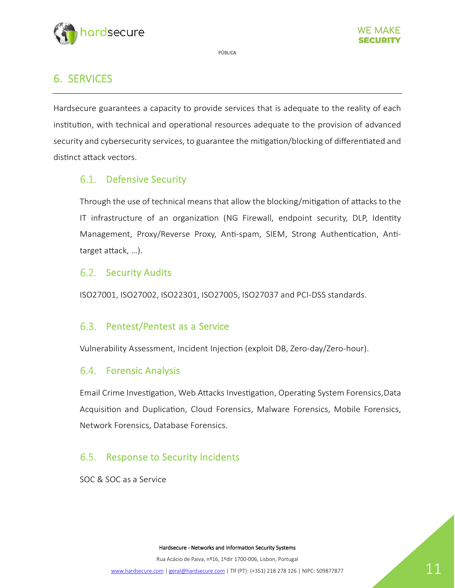



# 6. SERVICES

Hardsecure guarantees a capacity to provide services that is adequate to the reality of each institution, with technical and operational resources adequate to the provision of advanced security and cybersecurity services, to guarantee the mitigation/blocking of differentiated and distinct attack vectors.

# 6.1. Defensive Security

Through the use of technical means that allow the blocking/mi�ga�on of atacks to the IT infrastructure of an organization (NG Firewall, endpoint security, DLP, Identity Management, Proxy/Reverse Proxy, Anti-spam, SIEM, Strong Authentication, Antitarget atack, …).

## 6.2. Security Audits

ISO27001, ISO27002, ISO22301, ISO27005, ISO27037 and PCI-DSS standards.

### 6.3. Pentest/Pentest as a Service

Vulnerability Assessment, Incident Injection (exploit DB, Zero-day/Zero-hour).

# 6.4. Forensic Analysis

Email Crime Investigation, Web Attacks Investigation, Operating System Forensics,Data Acquisition and Duplication, Cloud Forensics, Malware Forensics, Mobile Forensics, Network Forensics, Database Forensics.

# 6.5. Response to Security Incidents

SOC & SOC as a Service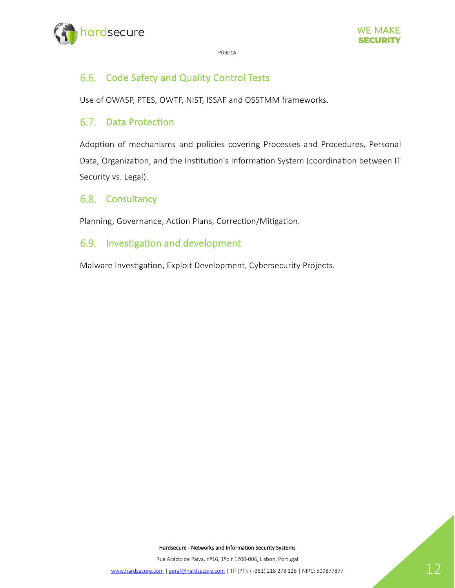

#### 6.6. Code Safety and Quality Control Tests

Use of OWASP, PTES, OWTF, NIST, ISSAF and OSSTMM frameworks.

#### 6.7. Data Protection

Adoption of mechanisms and policies covering Processes and Procedures, Personal Data, Organization, and the Institution's Information System (coordination between IT Security vs. Legal).

#### 6.8. Consultancy

Planning, Governance, Action Plans, Correction/Mitigation.

### 6.9. Investigation and development

Malware Investigation, Exploit Development, Cybersecurity Projects.

Hardsecure - Networks and Information Security Systems